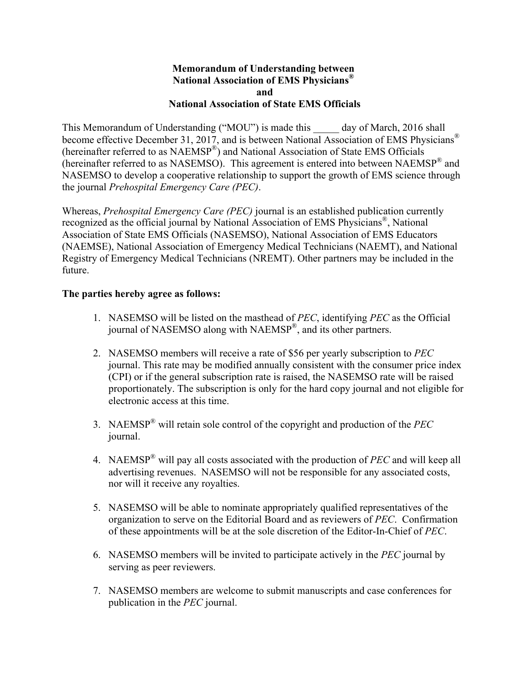## **Memorandum of Understanding between National Association of EMS Physicians® and National Association of State EMS Officials**

This Memorandum of Understanding ("MOU") is made this day of March, 2016 shall become effective December 31, 2017, and is between National Association of EMS Physicians® (hereinafter referred to as NAEMSP®) and National Association of State EMS Officials (hereinafter referred to as NASEMSO). This agreement is entered into between NAEMSP® and NASEMSO to develop a cooperative relationship to support the growth of EMS science through the journal *Prehospital Emergency Care (PEC)*.

Whereas, *Prehospital Emergency Care (PEC)* journal is an established publication currently recognized as the official journal by National Association of EMS Physicians®, National Association of State EMS Officials (NASEMSO), National Association of EMS Educators (NAEMSE), National Association of Emergency Medical Technicians (NAEMT), and National Registry of Emergency Medical Technicians (NREMT). Other partners may be included in the future.

## **The parties hereby agree as follows:**

- 1. NASEMSO will be listed on the masthead of *PEC*, identifying *PEC* as the Official journal of NASEMSO along with NAEMSP®, and its other partners.
- 2. NASEMSO members will receive a rate of \$56 per yearly subscription to *PEC* journal. This rate may be modified annually consistent with the consumer price index (CPI) or if the general subscription rate is raised, the NASEMSO rate will be raised proportionately. The subscription is only for the hard copy journal and not eligible for electronic access at this time.
- 3. NAEMSP® will retain sole control of the copyright and production of the *PEC* journal.
- 4. NAEMSP® will pay all costs associated with the production of *PEC* and will keep all advertising revenues. NASEMSO will not be responsible for any associated costs, nor will it receive any royalties.
- 5. NASEMSO will be able to nominate appropriately qualified representatives of the organization to serve on the Editorial Board and as reviewers of *PEC*. Confirmation of these appointments will be at the sole discretion of the Editor-In-Chief of *PEC*.
- 6. NASEMSO members will be invited to participate actively in the *PEC* journal by serving as peer reviewers.
- 7. NASEMSO members are welcome to submit manuscripts and case conferences for publication in the *PEC* journal.